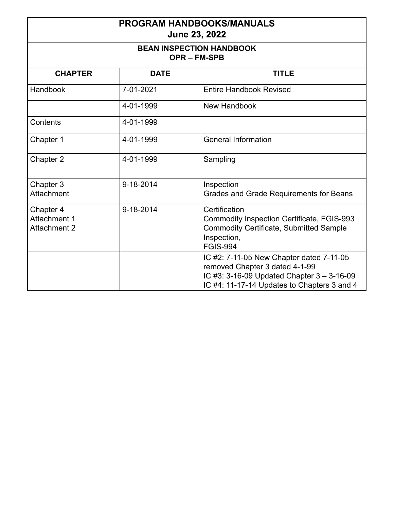| <b>PROGRAM HANDBOOKS/MANUALS</b><br>June 23, 2022<br><b>BEAN INSPECTION HANDBOOK</b><br><b>OPR-FM-SPB</b> |           |                                                                                                                                                                         |
|-----------------------------------------------------------------------------------------------------------|-----------|-------------------------------------------------------------------------------------------------------------------------------------------------------------------------|
|                                                                                                           |           |                                                                                                                                                                         |
| Handbook                                                                                                  | 7-01-2021 | <b>Entire Handbook Revised</b>                                                                                                                                          |
|                                                                                                           | 4-01-1999 | <b>New Handbook</b>                                                                                                                                                     |
| Contents                                                                                                  | 4-01-1999 |                                                                                                                                                                         |
| Chapter 1                                                                                                 | 4-01-1999 | <b>General Information</b>                                                                                                                                              |
| Chapter 2                                                                                                 | 4-01-1999 | Sampling                                                                                                                                                                |
| Chapter 3<br><b>Attachment</b>                                                                            | 9-18-2014 | Inspection<br><b>Grades and Grade Requirements for Beans</b>                                                                                                            |
| Chapter 4<br><b>Attachment 1</b><br>Attachment 2                                                          | 9-18-2014 | Certification<br><b>Commodity Inspection Certificate, FGIS-993</b><br><b>Commodity Certificate, Submitted Sample</b><br>Inspection,<br><b>FGIS-994</b>                  |
|                                                                                                           |           | IC #2: 7-11-05 New Chapter dated 7-11-05<br>removed Chapter 3 dated 4-1-99<br>IC #3: 3-16-09 Updated Chapter 3 - 3-16-09<br>IC #4: 11-17-14 Updates to Chapters 3 and 4 |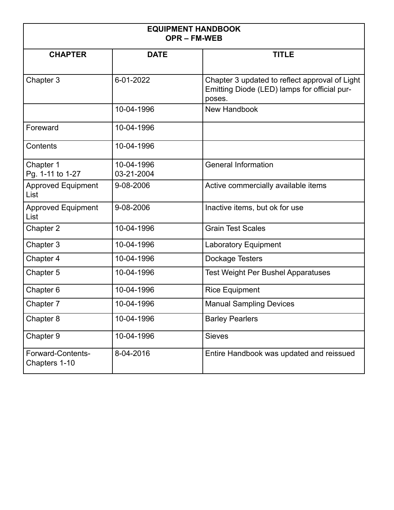| <b>EQUIPMENT HANDBOOK</b><br><b>OPR-FM-WEB</b> |                          |                                                                                                          |
|------------------------------------------------|--------------------------|----------------------------------------------------------------------------------------------------------|
| <b>CHAPTER</b>                                 | <b>DATE</b>              | <b>TITLE</b>                                                                                             |
| Chapter 3                                      | 6-01-2022                | Chapter 3 updated to reflect approval of Light<br>Emitting Diode (LED) lamps for official pur-<br>poses. |
|                                                | 10-04-1996               | <b>New Handbook</b>                                                                                      |
| Foreward                                       | 10-04-1996               |                                                                                                          |
| Contents                                       | 10-04-1996               |                                                                                                          |
| Chapter 1<br>Pg. 1-11 to 1-27                  | 10-04-1996<br>03-21-2004 | <b>General Information</b>                                                                               |
| <b>Approved Equipment</b><br>List              | 9-08-2006                | Active commercially available items                                                                      |
| <b>Approved Equipment</b><br>List              | 9-08-2006                | Inactive items, but ok for use                                                                           |
| Chapter 2                                      | 10-04-1996               | <b>Grain Test Scales</b>                                                                                 |
| Chapter 3                                      | 10-04-1996               | <b>Laboratory Equipment</b>                                                                              |
| Chapter 4                                      | 10-04-1996               | Dockage Testers                                                                                          |
| Chapter 5                                      | 10-04-1996               | <b>Test Weight Per Bushel Apparatuses</b>                                                                |
| Chapter 6                                      | 10-04-1996               | <b>Rice Equipment</b>                                                                                    |
| Chapter 7                                      | 10-04-1996               | <b>Manual Sampling Devices</b>                                                                           |
| Chapter 8                                      | 10-04-1996               | <b>Barley Pearlers</b>                                                                                   |
| Chapter 9                                      | 10-04-1996               | <b>Sieves</b>                                                                                            |
| Forward-Contents-<br>Chapters 1-10             | 8-04-2016                | Entire Handbook was updated and reissued                                                                 |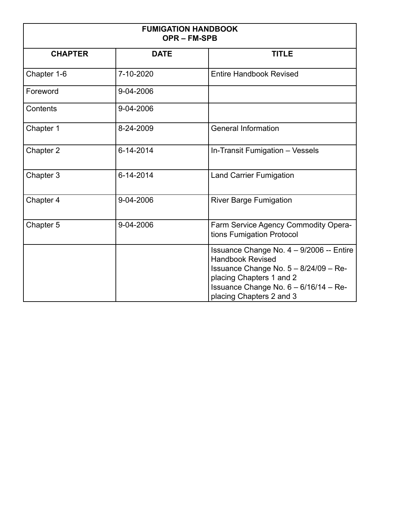| <b>FUMIGATION HANDBOOK</b><br><b>OPR-FM-SPB</b> |             |                                                                                                                                                                                                                  |  |
|-------------------------------------------------|-------------|------------------------------------------------------------------------------------------------------------------------------------------------------------------------------------------------------------------|--|
| <b>CHAPTER</b>                                  | <b>DATE</b> | <b>TITLE</b>                                                                                                                                                                                                     |  |
| Chapter 1-6                                     | 7-10-2020   | <b>Entire Handbook Revised</b>                                                                                                                                                                                   |  |
| Foreword                                        | 9-04-2006   |                                                                                                                                                                                                                  |  |
| Contents                                        | 9-04-2006   |                                                                                                                                                                                                                  |  |
| Chapter 1                                       | 8-24-2009   | <b>General Information</b>                                                                                                                                                                                       |  |
| Chapter 2                                       | 6-14-2014   | In-Transit Fumigation - Vessels                                                                                                                                                                                  |  |
| Chapter 3                                       | 6-14-2014   | <b>Land Carrier Fumigation</b>                                                                                                                                                                                   |  |
| Chapter 4                                       | 9-04-2006   | <b>River Barge Fumigation</b>                                                                                                                                                                                    |  |
| Chapter 5                                       | 9-04-2006   | Farm Service Agency Commodity Opera-<br>tions Fumigation Protocol                                                                                                                                                |  |
|                                                 |             | Issuance Change No. 4 - 9/2006 -- Entire<br><b>Handbook Revised</b><br>Issuance Change No. $5 - 8/24/09 - Re$ -<br>placing Chapters 1 and 2<br>Issuance Change No. 6 - 6/16/14 - Re-<br>placing Chapters 2 and 3 |  |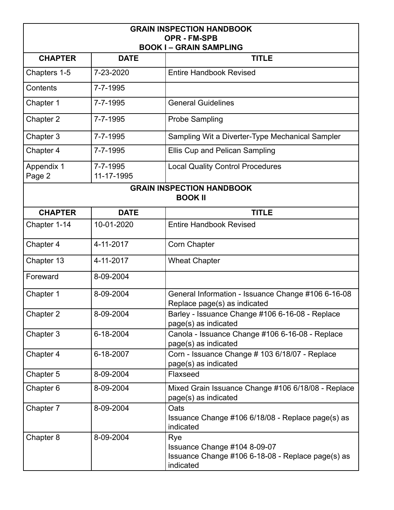| <b>GRAIN INSPECTION HANDBOOK</b>                    |                        |                                                                                                       |  |
|-----------------------------------------------------|------------------------|-------------------------------------------------------------------------------------------------------|--|
| <b>OPR - FM-SPB</b><br><b>BOOK I-GRAIN SAMPLING</b> |                        |                                                                                                       |  |
| <b>CHAPTER</b>                                      | <b>DATE</b>            | <b>TITLE</b>                                                                                          |  |
| Chapters 1-5                                        | 7-23-2020              | <b>Entire Handbook Revised</b>                                                                        |  |
| Contents                                            | 7-7-1995               |                                                                                                       |  |
| Chapter 1                                           | 7-7-1995               | <b>General Guidelines</b>                                                                             |  |
| Chapter 2                                           | 7-7-1995               | <b>Probe Sampling</b>                                                                                 |  |
| Chapter 3                                           | 7-7-1995               | Sampling Wit a Diverter-Type Mechanical Sampler                                                       |  |
| Chapter 4                                           | 7-7-1995               | <b>Ellis Cup and Pelican Sampling</b>                                                                 |  |
| <b>Appendix 1</b><br>Page 2                         | 7-7-1995<br>11-17-1995 | <b>Local Quality Control Procedures</b>                                                               |  |
| <b>GRAIN INSPECTION HANDBOOK</b><br><b>BOOK II</b>  |                        |                                                                                                       |  |
| <b>CHAPTER</b>                                      | <b>DATE</b>            | <b>TITLE</b>                                                                                          |  |
| Chapter 1-14                                        | 10-01-2020             | <b>Entire Handbook Revised</b>                                                                        |  |
| Chapter 4                                           | 4-11-2017              | <b>Corn Chapter</b>                                                                                   |  |
| Chapter 13                                          | 4-11-2017              | <b>Wheat Chapter</b>                                                                                  |  |
| Foreward                                            | 8-09-2004              |                                                                                                       |  |
| Chapter 1                                           | 8-09-2004              | General Information - Issuance Change #106 6-16-08<br>Replace page(s) as indicated                    |  |
| Chapter 2                                           | 8-09-2004              | Barley - Issuance Change #106 6-16-08 - Replace<br>page(s) as indicated                               |  |
| Chapter 3                                           | 6-18-2004              | Canola - Issuance Change #106 6-16-08 - Replace<br>page(s) as indicated                               |  |
| Chapter 4                                           | 6-18-2007              | Corn - Issuance Change # 103 6/18/07 - Replace<br>page(s) as indicated                                |  |
| Chapter 5                                           | 8-09-2004              | Flaxseed                                                                                              |  |
| Chapter 6                                           | 8-09-2004              | Mixed Grain Issuance Change #106 6/18/08 - Replace<br>page(s) as indicated                            |  |
| Chapter 7                                           | 8-09-2004              | Oats<br>Issuance Change #106 6/18/08 - Replace page(s) as<br>indicated                                |  |
| Chapter 8                                           | 8-09-2004              | Rye<br>Issuance Change #104 8-09-07<br>Issuance Change #106 6-18-08 - Replace page(s) as<br>indicated |  |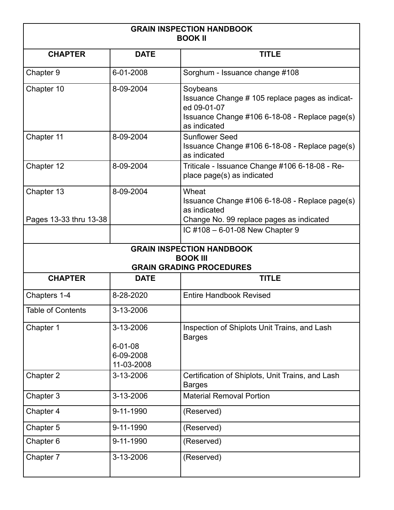| <b>GRAIN INSPECTION HANDBOOK</b><br><b>BOOK II</b> |                                                       |                                                                                                                                              |
|----------------------------------------------------|-------------------------------------------------------|----------------------------------------------------------------------------------------------------------------------------------------------|
| <b>CHAPTER</b>                                     | <b>DATE</b>                                           | <b>TITLE</b>                                                                                                                                 |
| Chapter 9                                          | 6-01-2008                                             | Sorghum - Issuance change #108                                                                                                               |
| Chapter 10                                         | 8-09-2004                                             | Soybeans<br>Issuance Change # 105 replace pages as indicat-<br>ed 09-01-07<br>Issuance Change #106 6-18-08 - Replace page(s)<br>as indicated |
| Chapter 11                                         | 8-09-2004                                             | <b>Sunflower Seed</b><br>Issuance Change #106 6-18-08 - Replace page(s)<br>as indicated                                                      |
| Chapter 12                                         | 8-09-2004                                             | Triticale - Issuance Change #106 6-18-08 - Re-<br>place page(s) as indicated                                                                 |
| Chapter 13                                         | 8-09-2004                                             | Wheat<br>Issuance Change #106 6-18-08 - Replace page(s)<br>as indicated                                                                      |
| Pages 13-33 thru 13-38                             |                                                       | Change No. 99 replace pages as indicated<br>IC #108 - 6-01-08 New Chapter 9                                                                  |
|                                                    |                                                       | <b>GRAIN INSPECTION HANDBOOK</b><br><b>BOOK III</b>                                                                                          |
|                                                    |                                                       | <b>GRAIN GRADING PROCEDURES</b>                                                                                                              |
| <b>CHAPTER</b>                                     | <b>DATE</b>                                           | <b>TITLE</b>                                                                                                                                 |
| Chapters 1-4                                       | 8-28-2020                                             | <b>Entire Handbook Revised</b>                                                                                                               |
| <b>Table of Contents</b>                           | 3-13-2006                                             |                                                                                                                                              |
| Chapter 1                                          | 3-13-2006<br>$6 - 01 - 08$<br>6-09-2008<br>11-03-2008 | Inspection of Shiplots Unit Trains, and Lash<br><b>Barges</b>                                                                                |
| Chapter 2                                          | 3-13-2006                                             | Certification of Shiplots, Unit Trains, and Lash<br><b>Barges</b>                                                                            |
| Chapter 3                                          | 3-13-2006                                             | <b>Material Removal Portion</b>                                                                                                              |
| Chapter 4                                          | 9-11-1990                                             | (Reserved)                                                                                                                                   |
| Chapter 5                                          | 9-11-1990                                             | (Reserved)                                                                                                                                   |
| Chapter 6                                          | 9-11-1990                                             | (Reserved)                                                                                                                                   |
| Chapter 7                                          | 3-13-2006                                             | (Reserved)                                                                                                                                   |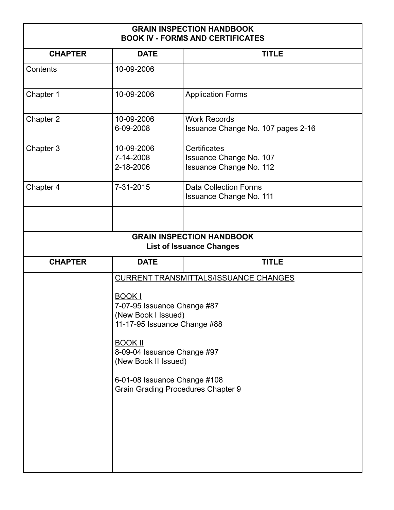## **GRAIN INSPECTION HANDBOOK BOOK IV - FORMS AND CERTIFICATES**

| <b>CHAPTER</b> | <b>DATE</b>                                                                                         | <b>TITLE</b>                                                              |
|----------------|-----------------------------------------------------------------------------------------------------|---------------------------------------------------------------------------|
| Contents       | 10-09-2006                                                                                          |                                                                           |
| Chapter 1      | 10-09-2006                                                                                          | <b>Application Forms</b>                                                  |
| Chapter 2      | 10-09-2006<br>6-09-2008                                                                             | <b>Work Records</b><br>Issuance Change No. 107 pages 2-16                 |
| Chapter 3      | 10-09-2006<br>7-14-2008<br>2-18-2006                                                                | Certificates<br>Issuance Change No. 107<br><b>Issuance Change No. 112</b> |
| Chapter 4      | 7-31-2015                                                                                           | <b>Data Collection Forms</b><br><b>Issuance Change No. 111</b>            |
|                |                                                                                                     |                                                                           |
|                |                                                                                                     | <b>GRAIN INSPECTION HANDBOOK</b><br><b>List of Issuance Changes</b>       |
| <b>CHAPTER</b> | <b>DATE</b>                                                                                         | <b>TITLE</b>                                                              |
|                |                                                                                                     | <b>CURRENT TRANSMITTALS/ISSUANCE CHANGES</b>                              |
|                | <b>BOOK I</b><br>7-07-95 Issuance Change #87<br>(New Book I Issued)<br>11-17-95 Issuance Change #88 |                                                                           |
|                | <b>BOOK II</b><br>8-09-04 Issuance Change #97<br>(New Book II Issued)                               |                                                                           |
|                | 6-01-08 Issuance Change #108<br><b>Grain Grading Procedures Chapter 9</b>                           |                                                                           |
|                |                                                                                                     |                                                                           |
|                |                                                                                                     |                                                                           |
|                |                                                                                                     |                                                                           |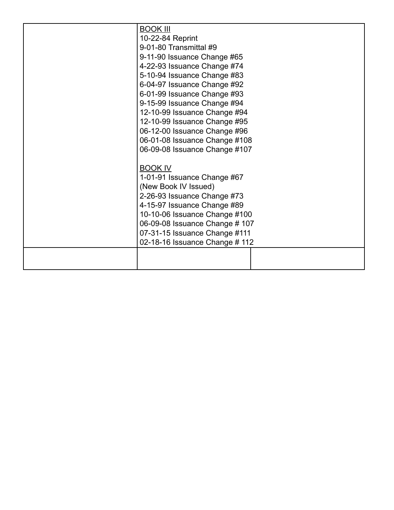| <b>BOOK III</b><br>10-22-84 Reprint<br>9-01-80 Transmittal #9<br>9-11-90 Issuance Change #65<br>4-22-93 Issuance Change #74<br>5-10-94 Issuance Change #83<br>6-04-97 Issuance Change #92<br>6-01-99 Issuance Change #93<br>9-15-99 Issuance Change #94<br>12-10-99 Issuance Change #94<br>12-10-99 Issuance Change #95 |
|-------------------------------------------------------------------------------------------------------------------------------------------------------------------------------------------------------------------------------------------------------------------------------------------------------------------------|
| 06-12-00 Issuance Change #96<br>06-01-08 Issuance Change #108<br>06-09-08 Issuance Change #107                                                                                                                                                                                                                          |
| <b>BOOK IV</b><br>1-01-91 Issuance Change #67<br>(New Book IV Issued)<br>2-26-93 Issuance Change #73<br>4-15-97 Issuance Change #89<br>10-10-06 Issuance Change #100<br>06-09-08 Issuance Change # 107<br>07-31-15 Issuance Change #111<br>02-18-16 Issuance Change # 112                                               |
|                                                                                                                                                                                                                                                                                                                         |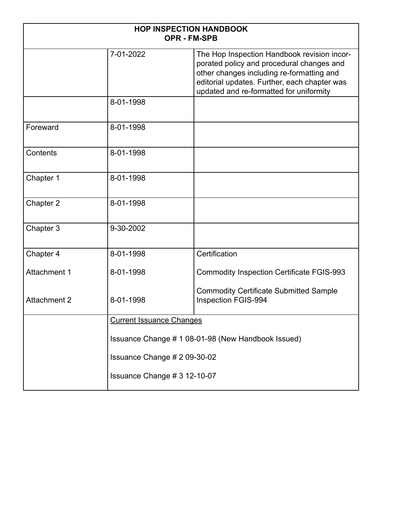| <b>HOP INSPECTION HANDBOOK</b><br><b>OPR - FM-SPB</b> |                                                    |                                                                                                                                                                                                                                  |
|-------------------------------------------------------|----------------------------------------------------|----------------------------------------------------------------------------------------------------------------------------------------------------------------------------------------------------------------------------------|
|                                                       | 7-01-2022                                          | The Hop Inspection Handbook revision incor-<br>porated policy and procedural changes and<br>other changes including re-formatting and<br>editorial updates. Further, each chapter was<br>updated and re-formatted for uniformity |
|                                                       | 8-01-1998                                          |                                                                                                                                                                                                                                  |
| Foreward                                              | 8-01-1998                                          |                                                                                                                                                                                                                                  |
| Contents                                              | 8-01-1998                                          |                                                                                                                                                                                                                                  |
| Chapter 1                                             | 8-01-1998                                          |                                                                                                                                                                                                                                  |
| Chapter 2                                             | 8-01-1998                                          |                                                                                                                                                                                                                                  |
| Chapter 3                                             | 9-30-2002                                          |                                                                                                                                                                                                                                  |
| Chapter 4                                             | 8-01-1998                                          | Certification                                                                                                                                                                                                                    |
| <b>Attachment 1</b>                                   | 8-01-1998                                          | <b>Commodity Inspection Certificate FGIS-993</b>                                                                                                                                                                                 |
| <b>Attachment 2</b>                                   | 8-01-1998                                          | <b>Commodity Certificate Submitted Sample</b><br>Inspection FGIS-994                                                                                                                                                             |
|                                                       | <b>Current Issuance Changes</b>                    |                                                                                                                                                                                                                                  |
|                                                       | Issuance Change # 1 08-01-98 (New Handbook Issued) |                                                                                                                                                                                                                                  |
|                                                       | Issuance Change # 2 09-30-02                       |                                                                                                                                                                                                                                  |
| Issuance Change # 3 12-10-07                          |                                                    |                                                                                                                                                                                                                                  |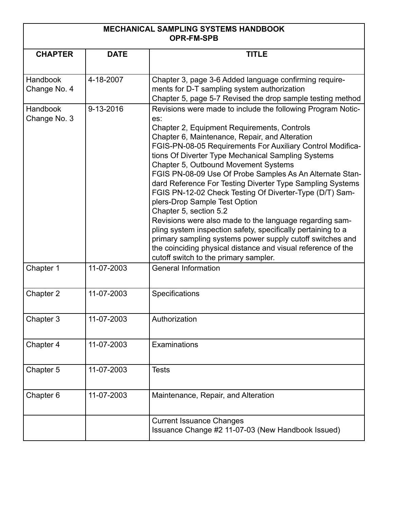| <b>MECHANICAL SAMPLING SYSTEMS HANDBOOK</b> |
|---------------------------------------------|
| <b>OPR-FM-SPB</b>                           |

| <b>CHAPTER</b>           | <b>DATE</b> | <b>TITLE</b>                                                       |
|--------------------------|-------------|--------------------------------------------------------------------|
|                          |             |                                                                    |
| Handbook                 | 4-18-2007   | Chapter 3, page 3-6 Added language confirming require-             |
| Change No. 4             |             | ments for D-T sampling system authorization                        |
|                          |             | Chapter 5, page 5-7 Revised the drop sample testing method         |
| Handbook<br>Change No. 3 | 9-13-2016   | Revisions were made to include the following Program Notic-<br>es: |
|                          |             | Chapter 2, Equipment Requirements, Controls                        |
|                          |             | Chapter 6, Maintenance, Repair, and Alteration                     |
|                          |             | FGIS-PN-08-05 Requirements For Auxiliary Control Modifica-         |
|                          |             | tions Of Diverter Type Mechanical Sampling Systems                 |
|                          |             | Chapter 5, Outbound Movement Systems                               |
|                          |             | FGIS PN-08-09 Use Of Probe Samples As An Alternate Stan-           |
|                          |             | dard Reference For Testing Diverter Type Sampling Systems          |
|                          |             | FGIS PN-12-02 Check Testing Of Diverter-Type (D/T) Sam-            |
|                          |             | plers-Drop Sample Test Option<br>Chapter 5, section 5.2            |
|                          |             | Revisions were also made to the language regarding sam-            |
|                          |             | pling system inspection safety, specifically pertaining to a       |
|                          |             | primary sampling systems power supply cutoff switches and          |
|                          |             | the coinciding physical distance and visual reference of the       |
|                          |             | cutoff switch to the primary sampler.                              |
| Chapter 1                | 11-07-2003  | <b>General Information</b>                                         |
|                          |             |                                                                    |
| Chapter 2                | 11-07-2003  | Specifications                                                     |
|                          |             |                                                                    |
| Chapter 3                | 11-07-2003  | Authorization                                                      |
|                          |             |                                                                    |
| Chapter 4                | 11-07-2003  | Examinations                                                       |
|                          |             |                                                                    |
| Chapter 5                | 11-07-2003  | <b>Tests</b>                                                       |
|                          |             |                                                                    |
| Chapter 6                | 11-07-2003  | Maintenance, Repair, and Alteration                                |
|                          |             |                                                                    |
|                          |             | <b>Current Issuance Changes</b>                                    |
|                          |             | Issuance Change #2 11-07-03 (New Handbook Issued)                  |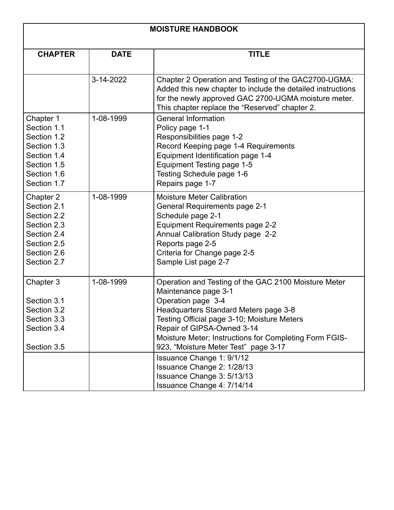| <b>MOISTURE HANDBOOK</b>   |             |                                                                                                                     |
|----------------------------|-------------|---------------------------------------------------------------------------------------------------------------------|
| <b>CHAPTER</b>             | <b>DATE</b> | <b>TITLE</b>                                                                                                        |
|                            |             |                                                                                                                     |
|                            | 3-14-2022   | Chapter 2 Operation and Testing of the GAC2700-UGMA:<br>Added this new chapter to include the detailed instructions |
|                            |             | for the newly approved GAC 2700-UGMA moisture meter.<br>This chapter replace the "Reserved" chapter 2.              |
| Chapter 1                  | 1-08-1999   | <b>General Information</b>                                                                                          |
| Section 1.1                |             | Policy page 1-1                                                                                                     |
| Section 1.2                |             | Responsibilities page 1-2                                                                                           |
| Section 1.3                |             | Record Keeping page 1-4 Requirements                                                                                |
| Section 1.4                |             | Equipment Identification page 1-4                                                                                   |
| Section 1.5<br>Section 1.6 |             | Equipment Testing page 1-5                                                                                          |
| Section 1.7                |             | Testing Schedule page 1-6<br>Repairs page 1-7                                                                       |
|                            |             |                                                                                                                     |
| Chapter 2                  | 1-08-1999   | <b>Moisture Meter Calibration</b>                                                                                   |
| Section 2.1                |             | <b>General Requirements page 2-1</b>                                                                                |
| Section 2.2                |             | Schedule page 2-1                                                                                                   |
| Section 2.3<br>Section 2.4 |             | <b>Equipment Requirements page 2-2</b><br>Annual Calibration Study page 2-2                                         |
| Section 2.5                |             | Reports page 2-5                                                                                                    |
| Section 2.6                |             | Criteria for Change page 2-5                                                                                        |
| Section 2.7                |             | Sample List page 2-7                                                                                                |
|                            |             |                                                                                                                     |
| Chapter 3                  | 1-08-1999   | Operation and Testing of the GAC 2100 Moisture Meter                                                                |
| Section 3.1                |             | Maintenance page 3-1                                                                                                |
| Section 3.2                |             | Operation page 3-4<br>Headquarters Standard Meters page 3-8                                                         |
| Section 3.3                |             | Testing Official page 3-10; Moisture Meters                                                                         |
| Section 3.4                |             | Repair of GIPSA-Owned 3-14                                                                                          |
|                            |             | Moisture Meter; Instructions for Completing Form FGIS-                                                              |
| Section 3.5                |             | 923, "Moisture Meter Test" page 3-17                                                                                |
|                            |             | Issuance Change 1: 9/1/12                                                                                           |
|                            |             | Issuance Change 2: 1/28/13                                                                                          |
|                            |             | Issuance Change 3: 5/13/13                                                                                          |
|                            |             | Issuance Change 4: 7/14/14                                                                                          |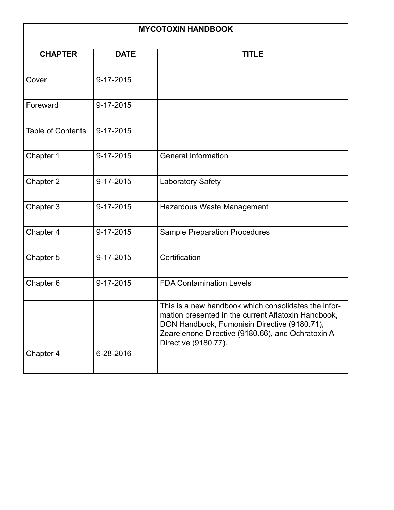| <b>MYCOTOXIN HANDBOOK</b> |             |                                                                                                                                                                                                                                          |
|---------------------------|-------------|------------------------------------------------------------------------------------------------------------------------------------------------------------------------------------------------------------------------------------------|
| <b>CHAPTER</b>            | <b>DATE</b> | <b>TITLE</b>                                                                                                                                                                                                                             |
| Cover                     | 9-17-2015   |                                                                                                                                                                                                                                          |
| Foreward                  | 9-17-2015   |                                                                                                                                                                                                                                          |
| <b>Table of Contents</b>  | 9-17-2015   |                                                                                                                                                                                                                                          |
| Chapter 1                 | 9-17-2015   | <b>General Information</b>                                                                                                                                                                                                               |
| Chapter 2                 | 9-17-2015   | <b>Laboratory Safety</b>                                                                                                                                                                                                                 |
| Chapter 3                 | 9-17-2015   | Hazardous Waste Management                                                                                                                                                                                                               |
| Chapter 4                 | 9-17-2015   | <b>Sample Preparation Procedures</b>                                                                                                                                                                                                     |
| Chapter 5                 | 9-17-2015   | Certification                                                                                                                                                                                                                            |
| Chapter 6                 | 9-17-2015   | <b>FDA Contamination Levels</b>                                                                                                                                                                                                          |
|                           |             | This is a new handbook which consolidates the infor-<br>mation presented in the current Aflatoxin Handbook,<br>DON Handbook, Fumonisin Directive (9180.71),<br>Zearelenone Directive (9180.66), and Ochratoxin A<br>Directive (9180.77). |
| Chapter 4                 | 6-28-2016   |                                                                                                                                                                                                                                          |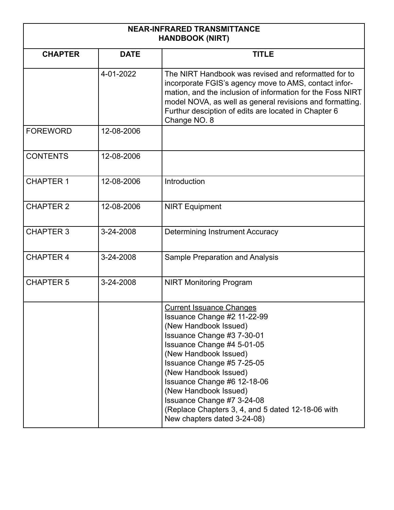| <b>NEAR-INFRARED TRANSMITTANCE</b><br><b>HANDBOOK (NIRT)</b> |             |                                                                                                                                                                                                                                                                                                                                                                                                               |
|--------------------------------------------------------------|-------------|---------------------------------------------------------------------------------------------------------------------------------------------------------------------------------------------------------------------------------------------------------------------------------------------------------------------------------------------------------------------------------------------------------------|
| <b>CHAPTER</b>                                               | <b>DATE</b> | <b>TITLE</b>                                                                                                                                                                                                                                                                                                                                                                                                  |
|                                                              | 4-01-2022   | The NIRT Handbook was revised and reformatted for to<br>incorporate FGIS's agency move to AMS, contact infor-<br>mation, and the inclusion of information for the Foss NIRT<br>model NOVA, as well as general revisions and formatting.<br>Furthur desciption of edits are located in Chapter 6<br>Change NO. 8                                                                                               |
| <b>FOREWORD</b>                                              | 12-08-2006  |                                                                                                                                                                                                                                                                                                                                                                                                               |
| <b>CONTENTS</b>                                              | 12-08-2006  |                                                                                                                                                                                                                                                                                                                                                                                                               |
| <b>CHAPTER 1</b>                                             | 12-08-2006  | Introduction                                                                                                                                                                                                                                                                                                                                                                                                  |
| <b>CHAPTER 2</b>                                             | 12-08-2006  | <b>NIRT Equipment</b>                                                                                                                                                                                                                                                                                                                                                                                         |
| <b>CHAPTER 3</b>                                             | 3-24-2008   | <b>Determining Instrument Accuracy</b>                                                                                                                                                                                                                                                                                                                                                                        |
| <b>CHAPTER 4</b>                                             | 3-24-2008   | <b>Sample Preparation and Analysis</b>                                                                                                                                                                                                                                                                                                                                                                        |
| <b>CHAPTER 5</b>                                             | 3-24-2008   | <b>NIRT Monitoring Program</b>                                                                                                                                                                                                                                                                                                                                                                                |
|                                                              |             | <b>Current Issuance Changes</b><br>Issuance Change #2 11-22-99<br>(New Handbook Issued)<br>Issuance Change #3 7-30-01<br>Issuance Change #4 5-01-05<br>(New Handbook Issued)<br>Issuance Change #5 7-25-05<br>(New Handbook Issued)<br>Issuance Change #6 12-18-06<br>(New Handbook Issued)<br>Issuance Change #7 3-24-08<br>(Replace Chapters 3, 4, and 5 dated 12-18-06 with<br>New chapters dated 3-24-08) |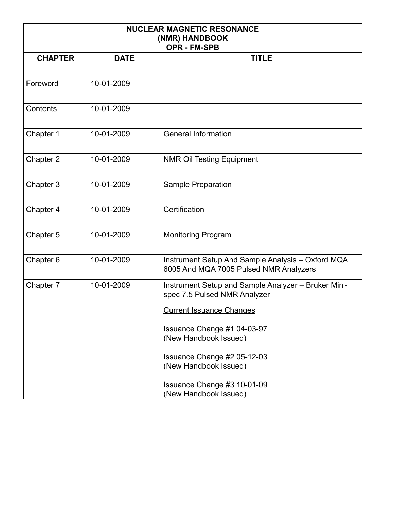| <b>NUCLEAR MAGNETIC RESONANCE</b><br>(NMR) HANDBOOK<br><b>OPR - FM-SPB</b> |             |                                                                                             |
|----------------------------------------------------------------------------|-------------|---------------------------------------------------------------------------------------------|
| <b>CHAPTER</b>                                                             | <b>DATE</b> | <b>TITLE</b>                                                                                |
| Foreword                                                                   | 10-01-2009  |                                                                                             |
| Contents                                                                   | 10-01-2009  |                                                                                             |
| Chapter 1                                                                  | 10-01-2009  | <b>General Information</b>                                                                  |
| Chapter 2                                                                  | 10-01-2009  | <b>NMR Oil Testing Equipment</b>                                                            |
| Chapter 3                                                                  | 10-01-2009  | <b>Sample Preparation</b>                                                                   |
| Chapter 4                                                                  | 10-01-2009  | Certification                                                                               |
| Chapter 5                                                                  | 10-01-2009  | <b>Monitoring Program</b>                                                                   |
| Chapter 6                                                                  | 10-01-2009  | Instrument Setup And Sample Analysis - Oxford MQA<br>6005 And MQA 7005 Pulsed NMR Analyzers |
| Chapter 7                                                                  | 10-01-2009  | Instrument Setup and Sample Analyzer - Bruker Mini-<br>spec 7.5 Pulsed NMR Analyzer         |
|                                                                            |             | <b>Current Issuance Changes</b>                                                             |
|                                                                            |             | Issuance Change #1 04-03-97<br>(New Handbook Issued)                                        |
|                                                                            |             | Issuance Change #2 05-12-03<br>(New Handbook Issued)                                        |
|                                                                            |             | Issuance Change #3 10-01-09<br>(New Handbook Issued)                                        |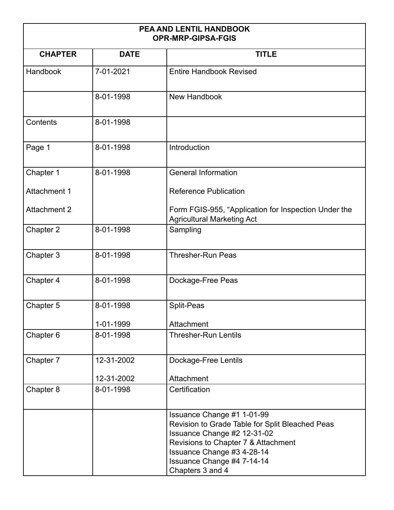| PEA AND LENTIL HANDBOOK<br><b>OPR-MRP-GIPSA-FGIS</b> |             |                                                                                                                                                                                                                                     |
|------------------------------------------------------|-------------|-------------------------------------------------------------------------------------------------------------------------------------------------------------------------------------------------------------------------------------|
| <b>CHAPTER</b>                                       | <b>DATE</b> | <b>TITLE</b>                                                                                                                                                                                                                        |
| Handbook                                             | 7-01-2021   | <b>Entire Handbook Revised</b>                                                                                                                                                                                                      |
|                                                      | 8-01-1998   | New Handbook                                                                                                                                                                                                                        |
| Contents                                             | 8-01-1998   |                                                                                                                                                                                                                                     |
| Page 1                                               | 8-01-1998   | Introduction                                                                                                                                                                                                                        |
| Chapter 1                                            | 8-01-1998   | <b>General Information</b>                                                                                                                                                                                                          |
| Attachment 1                                         |             | <b>Reference Publication</b>                                                                                                                                                                                                        |
| <b>Attachment 2</b>                                  |             | Form FGIS-955, "Application for Inspection Under the<br><b>Agricultural Marketing Act</b>                                                                                                                                           |
| Chapter 2                                            | 8-01-1998   | Sampling                                                                                                                                                                                                                            |
| Chapter 3                                            | 8-01-1998   | <b>Thresher-Run Peas</b>                                                                                                                                                                                                            |
| Chapter 4                                            | 8-01-1998   | Dockage-Free Peas                                                                                                                                                                                                                   |
| Chapter 5                                            | 8-01-1998   | Split-Peas                                                                                                                                                                                                                          |
|                                                      | 1-01-1999   | Attachment                                                                                                                                                                                                                          |
| Chapter 6                                            | 8-01-1998   | <b>Thresher-Run Lentils</b>                                                                                                                                                                                                         |
| Chapter 7                                            | 12-31-2002  | Dockage-Free Lentils                                                                                                                                                                                                                |
|                                                      | 12-31-2002  | Attachment                                                                                                                                                                                                                          |
| Chapter 8                                            | 8-01-1998   | Certification                                                                                                                                                                                                                       |
|                                                      |             | Issuance Change #1 1-01-99<br>Revision to Grade Table for Split Bleached Peas<br>Issuance Change #2 12-31-02<br>Revisions to Chapter 7 & Attachment<br>Issuance Change #3 4-28-14<br>Issuance Change #4 7-14-14<br>Chapters 3 and 4 |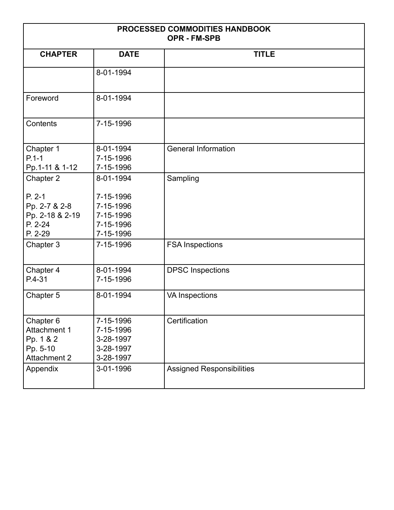| PROCESSED COMMODITIES HANDBOOK<br><b>OPR - FM-SPB</b>                            |                                                               |                                  |
|----------------------------------------------------------------------------------|---------------------------------------------------------------|----------------------------------|
| <b>CHAPTER</b>                                                                   | <b>DATE</b>                                                   | <b>TITLE</b>                     |
|                                                                                  | 8-01-1994                                                     |                                  |
| Foreword                                                                         | 8-01-1994                                                     |                                  |
| Contents                                                                         | 7-15-1996                                                     |                                  |
| Chapter 1<br>$P.1 - 1$<br>Pp.1-11 & 1-12                                         | 8-01-1994<br>7-15-1996<br>7-15-1996                           | <b>General Information</b>       |
| Chapter 2                                                                        | 8-01-1994                                                     | Sampling                         |
| $P. 2-1$<br>Pp. 2-7 & 2-8<br>Pp. 2-18 & 2-19<br>P. 2-24<br>P. 2-29               | 7-15-1996<br>7-15-1996<br>7-15-1996<br>7-15-1996<br>7-15-1996 |                                  |
| Chapter 3                                                                        | 7-15-1996                                                     | <b>FSA Inspections</b>           |
| Chapter 4<br>P.4-31                                                              | 8-01-1994<br>7-15-1996                                        | <b>DPSC</b> Inspections          |
| Chapter 5                                                                        | 8-01-1994                                                     | <b>VA Inspections</b>            |
| Chapter 6<br><b>Attachment 1</b><br>Pp. 1 & 2<br>Pp. 5-10<br><b>Attachment 2</b> | 7-15-1996<br>7-15-1996<br>3-28-1997<br>3-28-1997<br>3-28-1997 | Certification                    |
| Appendix                                                                         | 3-01-1996                                                     | <b>Assigned Responsibilities</b> |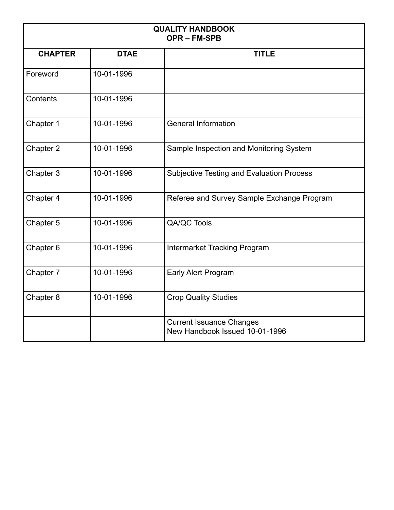| <b>QUALITY HANDBOOK</b><br><b>OPR-FM-SPB</b> |             |                                                                   |
|----------------------------------------------|-------------|-------------------------------------------------------------------|
| <b>CHAPTER</b>                               | <b>DTAE</b> | <b>TITLE</b>                                                      |
| Foreword                                     | 10-01-1996  |                                                                   |
| Contents                                     | 10-01-1996  |                                                                   |
| Chapter 1                                    | 10-01-1996  | <b>General Information</b>                                        |
| Chapter 2                                    | 10-01-1996  | Sample Inspection and Monitoring System                           |
| Chapter 3                                    | 10-01-1996  | <b>Subjective Testing and Evaluation Process</b>                  |
| Chapter 4                                    | 10-01-1996  | Referee and Survey Sample Exchange Program                        |
| Chapter 5                                    | 10-01-1996  | QA/QC Tools                                                       |
| Chapter 6                                    | 10-01-1996  | <b>Intermarket Tracking Program</b>                               |
| Chapter 7                                    | 10-01-1996  | <b>Early Alert Program</b>                                        |
| Chapter 8                                    | 10-01-1996  | <b>Crop Quality Studies</b>                                       |
|                                              |             | <b>Current Issuance Changes</b><br>New Handbook Issued 10-01-1996 |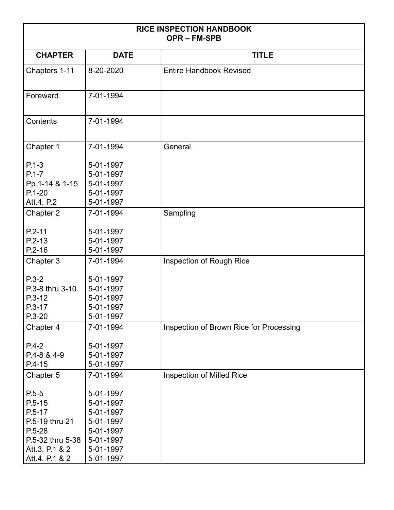| <b>RICE INSPECTION HANDBOOK</b><br><b>OPR-FM-SPB</b>                                                                        |                                                                                                      |                                         |
|-----------------------------------------------------------------------------------------------------------------------------|------------------------------------------------------------------------------------------------------|-----------------------------------------|
| <b>CHAPTER</b>                                                                                                              | <b>DATE</b>                                                                                          | <b>TITLE</b>                            |
| Chapters 1-11                                                                                                               | 8-20-2020                                                                                            | <b>Entire Handbook Revised</b>          |
| Foreward                                                                                                                    | 7-01-1994                                                                                            |                                         |
| Contents                                                                                                                    | 7-01-1994                                                                                            |                                         |
| Chapter 1                                                                                                                   | 7-01-1994                                                                                            | General                                 |
| $P.1 - 3$<br>$P.1 - 7$<br>Pp.1-14 & 1-15<br>$P.1 - 20$                                                                      | 5-01-1997<br>5-01-1997<br>5-01-1997<br>5-01-1997                                                     |                                         |
| Att.4, P.2                                                                                                                  | 5-01-1997                                                                                            |                                         |
| Chapter 2                                                                                                                   | 7-01-1994                                                                                            | Sampling                                |
| $P.2 - 11$<br>$P.2-13$<br>$P.2 - 16$                                                                                        | 5-01-1997<br>5-01-1997<br>5-01-1997                                                                  |                                         |
| Chapter 3                                                                                                                   | 7-01-1994                                                                                            | Inspection of Rough Rice                |
| $P.3-2$<br>P.3-8 thru 3-10<br>$P.3-12$<br>$P.3-17$<br>$P.3 - 20$                                                            | 5-01-1997<br>5-01-1997<br>5-01-1997<br>5-01-1997<br>5-01-1997                                        |                                         |
| Chapter 4                                                                                                                   | 7-01-1994                                                                                            | Inspection of Brown Rice for Processing |
| $P.4-2$<br>P.4-8 & 4-9<br>$P.4-15$                                                                                          | 5-01-1997<br>5-01-1997<br>5-01-1997                                                                  |                                         |
| Chapter 5                                                                                                                   | 7-01-1994                                                                                            | Inspection of Milled Rice               |
| $P.5 - 5$<br>$P.5 - 15$<br>$P.5-17$<br>P.5-19 thru 21<br>$P.5 - 28$<br>P.5-32 thru 5-38<br>Att.3, P.1 & 2<br>Att.4, P.1 & 2 | 5-01-1997<br>5-01-1997<br>5-01-1997<br>5-01-1997<br>5-01-1997<br>5-01-1997<br>5-01-1997<br>5-01-1997 |                                         |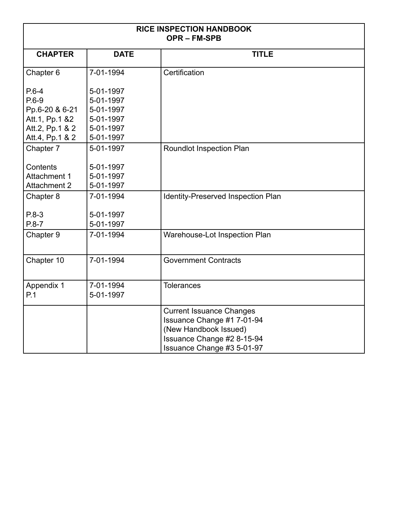| <b>RICE INSPECTION HANDBOOK</b><br><b>OPR-FM-SPB</b> |                        |                                                                                                                                                    |
|------------------------------------------------------|------------------------|----------------------------------------------------------------------------------------------------------------------------------------------------|
| <b>CHAPTER</b>                                       | <b>DATE</b>            | <b>TITLE</b>                                                                                                                                       |
| Chapter 6                                            | 7-01-1994              | Certification                                                                                                                                      |
| $P.6-4$                                              | 5-01-1997              |                                                                                                                                                    |
| $P.6-9$                                              | 5-01-1997              |                                                                                                                                                    |
| Pp.6-20 & 6-21                                       | 5-01-1997              |                                                                                                                                                    |
| Att.1, Pp.1 &2                                       | 5-01-1997              |                                                                                                                                                    |
| Att.2, Pp.1 & 2                                      | 5-01-1997              |                                                                                                                                                    |
| Att.4, Pp.1 & 2                                      | 5-01-1997              |                                                                                                                                                    |
| Chapter 7                                            | 5-01-1997              | <b>Roundlot Inspection Plan</b>                                                                                                                    |
| Contents                                             | 5-01-1997              |                                                                                                                                                    |
| Attachment 1                                         | 5-01-1997              |                                                                                                                                                    |
| <b>Attachment 2</b>                                  | 5-01-1997              |                                                                                                                                                    |
| Chapter 8                                            | 7-01-1994              | <b>Identity-Preserved Inspection Plan</b>                                                                                                          |
| $P.8-3$                                              | 5-01-1997              |                                                                                                                                                    |
| $P.8 - 7$                                            | 5-01-1997              |                                                                                                                                                    |
| Chapter 9                                            | 7-01-1994              | Warehouse-Lot Inspection Plan                                                                                                                      |
|                                                      |                        |                                                                                                                                                    |
| Chapter 10                                           | 7-01-1994              | <b>Government Contracts</b>                                                                                                                        |
| Appendix 1<br>P.1                                    | 7-01-1994<br>5-01-1997 | <b>Tolerances</b>                                                                                                                                  |
|                                                      |                        | <b>Current Issuance Changes</b><br>Issuance Change #1 7-01-94<br>(New Handbook Issued)<br>Issuance Change #2 8-15-94<br>Issuance Change #3 5-01-97 |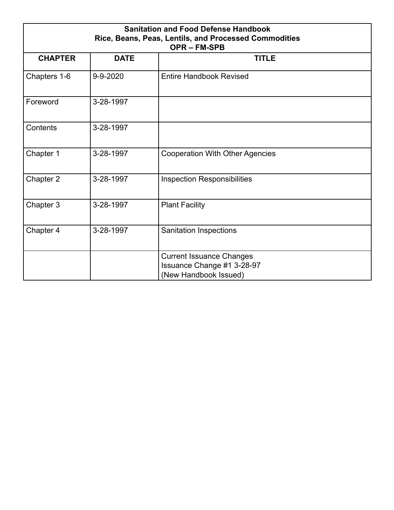| <b>Sanitation and Food Defense Handbook</b><br>Rice, Beans, Peas, Lentils, and Processed Commodities<br><b>OPR-FM-SPB</b> |             |                                                                                        |
|---------------------------------------------------------------------------------------------------------------------------|-------------|----------------------------------------------------------------------------------------|
| <b>CHAPTER</b>                                                                                                            | <b>DATE</b> | <b>TITLE</b>                                                                           |
| Chapters 1-6                                                                                                              | 9-9-2020    | <b>Entire Handbook Revised</b>                                                         |
| Foreword                                                                                                                  | 3-28-1997   |                                                                                        |
| Contents                                                                                                                  | 3-28-1997   |                                                                                        |
| Chapter 1                                                                                                                 | 3-28-1997   | <b>Cooperation With Other Agencies</b>                                                 |
| Chapter 2                                                                                                                 | 3-28-1997   | <b>Inspection Responsibilities</b>                                                     |
| Chapter 3                                                                                                                 | 3-28-1997   | <b>Plant Facility</b>                                                                  |
| Chapter 4                                                                                                                 | 3-28-1997   | <b>Sanitation Inspections</b>                                                          |
|                                                                                                                           |             | <b>Current Issuance Changes</b><br>Issuance Change #1 3-28-97<br>(New Handbook Issued) |